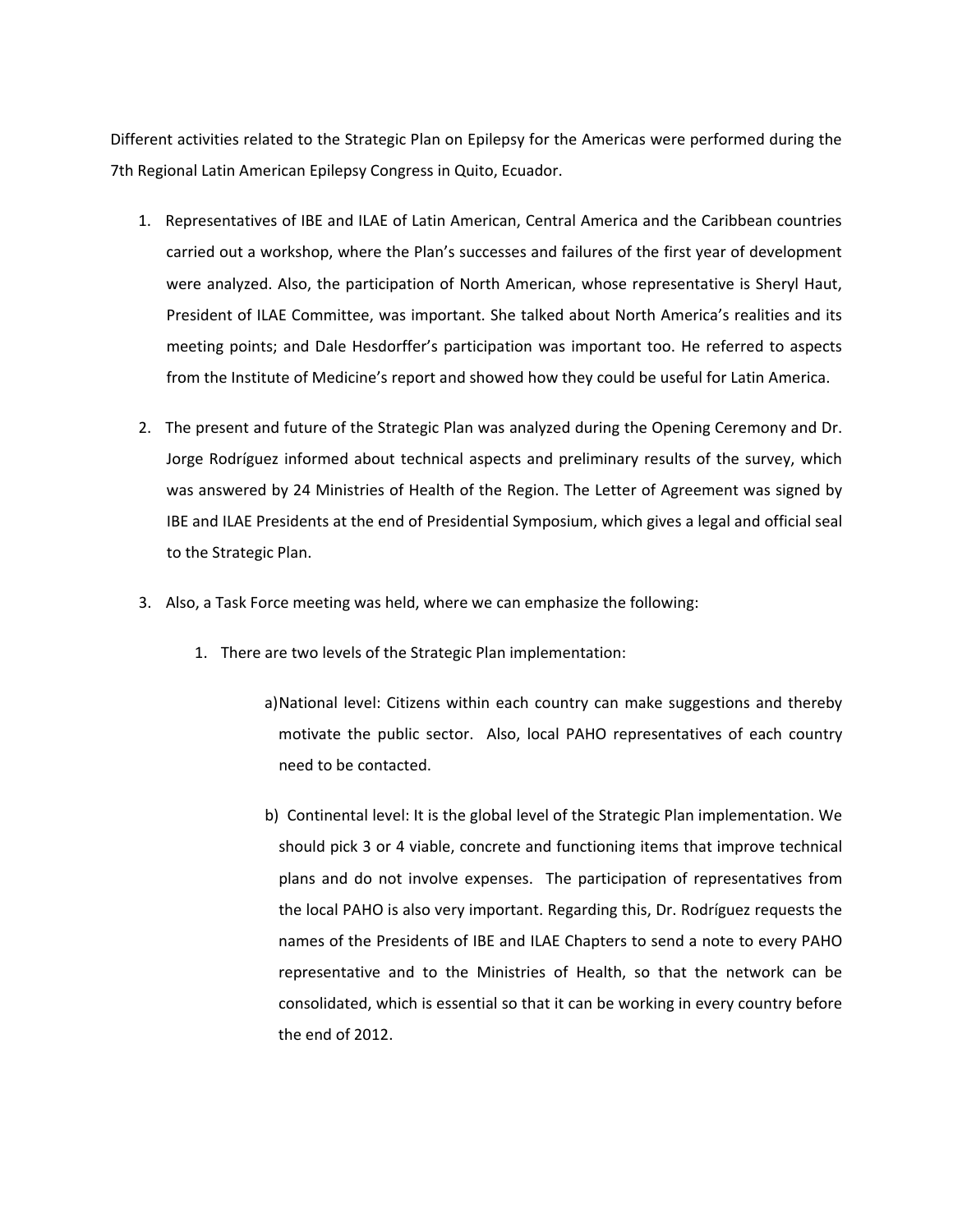Different activities related to the Strategic Plan on Epilepsy for the Americas were performed during the 7th Regional Latin American Epilepsy Congress in Quito, Ecuador.

- 1. Representatives of IBE and ILAE of Latin American, Central America and the Caribbean countries carried out a workshop, where the Plan's successes and failures of the first year of development were analyzed. Also, the participation of North American, whose representative is Sheryl Haut, President of ILAE Committee, was important. She talked about North America's realities and its meeting points; and Dale Hesdorffer's participation was important too. He referred to aspects from the Institute of Medicine's report and showed how they could be useful for Latin America.
- 2. The present and future of the Strategic Plan was analyzed during the Opening Ceremony and Dr. Jorge Rodríguez informed about technical aspects and preliminary results of the survey, which was answered by 24 Ministries of Health of the Region. The Letter of Agreement was signed by IBE and ILAE Presidents at the end of Presidential Symposium, which gives a legal and official seal to the Strategic Plan.
- 3. Also, a Task Force meeting was held, where we can emphasize the following:
	- 1. There are two levels of the Strategic Plan implementation:
		- a)National level: Citizens within each country can make suggestions and thereby motivate the public sector. Also, local PAHO representatives of each country need to be contacted.
		- b) Continental level: It is the global level of the Strategic Plan implementation. We should pick 3 or 4 viable, concrete and functioning items that improve technical plans and do not involve expenses. The participation of representatives from the local PAHO is also very important. Regarding this, Dr. Rodríguez requests the names of the Presidents of IBE and ILAE Chapters to send a note to every PAHO representative and to the Ministries of Health, so that the network can be consolidated, which is essential so that it can be working in every country before the end of 2012.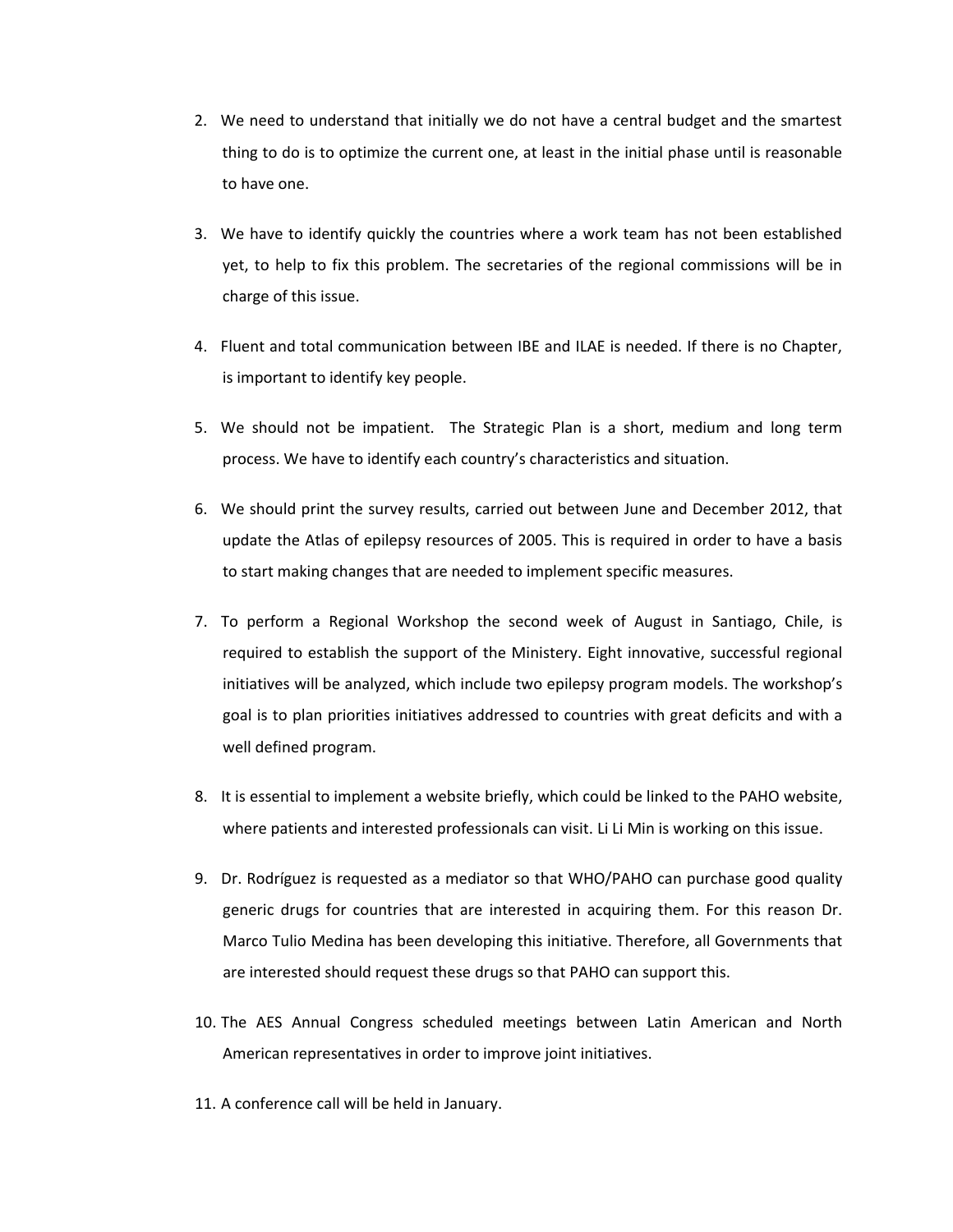- 2. We need to understand that initially we do not have a central budget and the smartest thing to do is to optimize the current one, at least in the initial phase until is reasonable to have one.
- 3. We have to identify quickly the countries where a work team has not been established yet, to help to fix this problem. The secretaries of the regional commissions will be in charge of this issue.
- 4. Fluent and total communication between IBE and ILAE is needed. If there is no Chapter, is important to identify key people.
- 5. We should not be impatient. The Strategic Plan is a short, medium and long term process. We have to identify each country's characteristics and situation.
- 6. We should print the survey results, carried out between June and December 2012, that update the Atlas of epilepsy resources of 2005. This is required in order to have a basis to start making changes that are needed to implement specific measures.
- 7. To perform a Regional Workshop the second week of August in Santiago, Chile, is required to establish the support of the Ministery. Eight innovative, successful regional initiatives will be analyzed, which include two epilepsy program models. The workshop's goal is to plan priorities initiatives addressed to countries with great deficits and with a well defined program.
- 8. It is essential to implement a website briefly, which could be linked to the PAHO website, where patients and interested professionals can visit. Li Li Min is working on this issue.
- 9. Dr. Rodríguez is requested as a mediator so that WHO/PAHO can purchase good quality generic drugs for countries that are interested in acquiring them. For this reason Dr. Marco Tulio Medina has been developing this initiative. Therefore, all Governments that are interested should request these drugs so that PAHO can support this.
- 10. The AES Annual Congress scheduled meetings between Latin American and North American representatives in order to improve joint initiatives.
- 11. A conference call will be held in January.